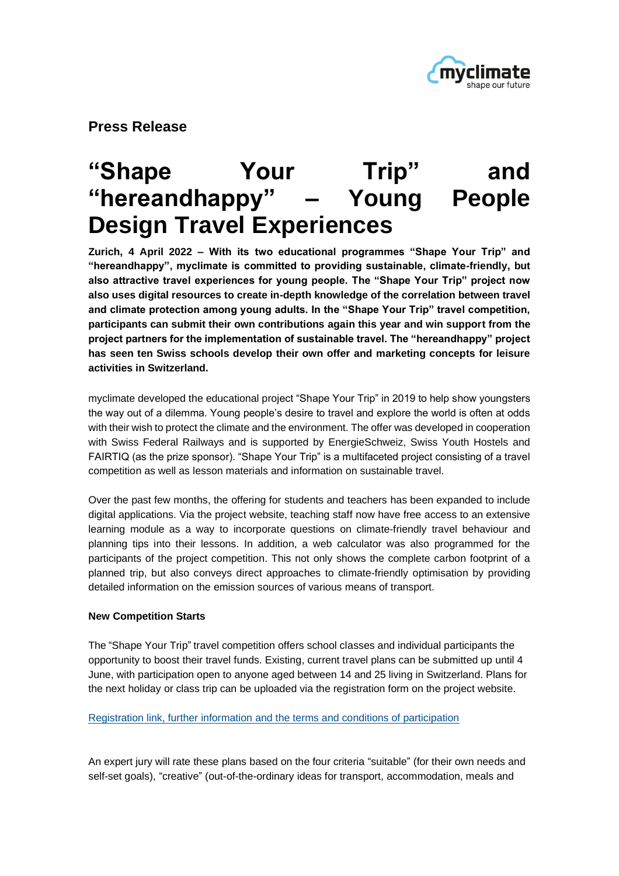

**Press Release** 

# **"Shape Your Trip" and "hereandhappy" – Young People Design Travel Experiences**

**Zurich, 4 April 2022 – With its two educational programmes "Shape Your Trip" and "hereandhappy", myclimate is committed to providing sustainable, climate-friendly, but also attractive travel experiences for young people. The "Shape Your Trip" project now also uses digital resources to create in-depth knowledge of the correlation between travel and climate protection among young adults. In the "Shape Your Trip" travel competition, participants can submit their own contributions again this year and win support from the project partners for the implementation of sustainable travel. The "hereandhappy" project has seen ten Swiss schools develop their own offer and marketing concepts for leisure activities in Switzerland.** 

myclimate developed the educational project "Shape Your Trip" in 2019 to help show youngsters the way out of a dilemma. Young people's desire to travel and explore the world is often at odds with their wish to protect the climate and the environment. The offer was developed in cooperation with Swiss Federal Railways and is supported by EnergieSchweiz, Swiss Youth Hostels and FAIRTIQ (as the prize sponsor). "Shape Your Trip" is a multifaceted project consisting of a travel competition as well as lesson materials and information on sustainable travel.

Over the past few months, the offering for students and teachers has been expanded to include digital applications. Via the project website, teaching staff now have free access to an extensive learning module as a way to incorporate questions on climate-friendly travel behaviour and planning tips into their lessons. In addition, a web calculator was also programmed for the participants of the project competition. This not only shows the complete carbon footprint of a planned trip, but also conveys direct approaches to climate-friendly optimisation by providing detailed information on the emission sources of various means of transport.

## **New Competition Starts**

The "Shape Your Trip" travel competition offers school classes and individual participants the opportunity to boost their travel funds. Existing, current travel plans can be submitted up until 4 June, with participation open to anyone aged between 14 and 25 living in Switzerland. Plans for the next holiday or class trip can be uploaded via the registration form on the project website.

#### [Registration link, further information and the terms and conditions of participation](https://www.myclimate.org/de/informieren/bildung/reisewettbewerb/)

An expert jury will rate these plans based on the four criteria "suitable" (for their own needs and self-set goals), "creative" (out-of-the-ordinary ideas for transport, accommodation, meals and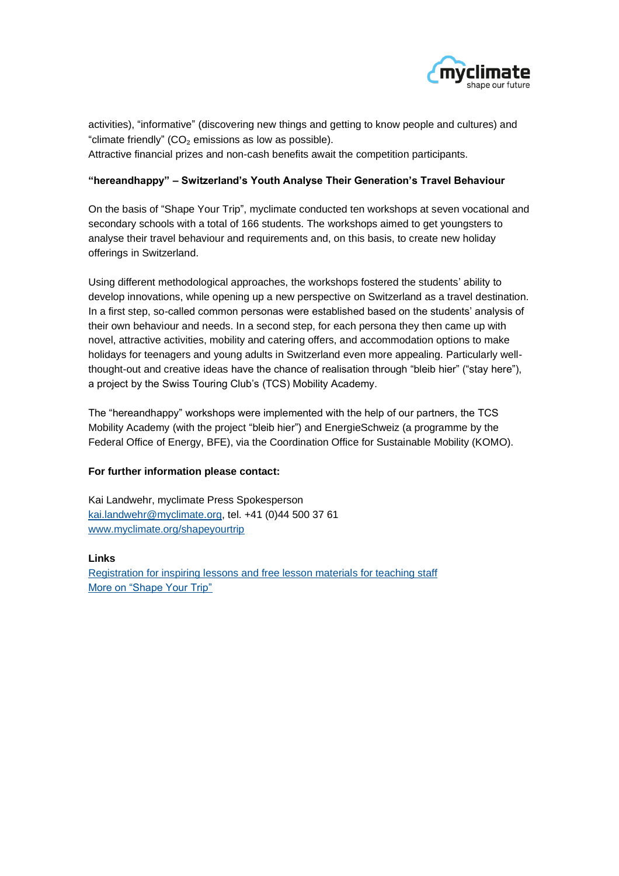

activities), "informative" (discovering new things and getting to know people and cultures) and "climate friendly" ( $CO<sub>2</sub>$  emissions as low as possible). Attractive financial prizes and non-cash benefits await the competition participants.

### **"hereandhappy" – Switzerland's Youth Analyse Their Generation's Travel Behaviour**

On the basis of "Shape Your Trip", myclimate conducted ten workshops at seven vocational and secondary schools with a total of 166 students. The workshops aimed to get youngsters to analyse their travel behaviour and requirements and, on this basis, to create new holiday offerings in Switzerland.

Using different methodological approaches, the workshops fostered the students' ability to develop innovations, while opening up a new perspective on Switzerland as a travel destination. In a first step, so-called common personas were established based on the students' analysis of their own behaviour and needs. In a second step, for each persona they then came up with novel, attractive activities, mobility and catering offers, and accommodation options to make holidays for teenagers and young adults in Switzerland even more appealing. Particularly wellthought-out and creative ideas have the chance of realisation through "bleib hier" ("stay here"), a project by the Swiss Touring Club's (TCS) Mobility Academy.

The "hereandhappy" workshops were implemented with the help of our partners, the TCS Mobility Academy (with the project "bleib hier") and EnergieSchweiz (a programme by the Federal Office of Energy, BFE), via the Coordination Office for Sustainable Mobility (KOMO).

#### **For further information please contact:**

Kai Landwehr, myclimate Press Spokesperson [kai.landwehr@myclimate.org,](mailto:kai.landwehr@myclimate.org) tel. +41 (0)44 500 37 61 [www.myclimate.org/](https://www.myclimate.org/de/informieren/klimaschutzprojekte/detail-klimaschutzprojekte/show/Project/shapeyourtrip-2/)shapeyourtrip

#### **Links**

[Registration for inspiring lessons and free lesson materials for teaching staff](https://www.myclimate.org/de/shapeyourtrip/imunterricht/) [More on "Shape Your Trip"](https://www.myclimate.org/de/informieren/klimaschutzprojekte/detail-klimaschutzprojekte/shapeyourtrip-de/)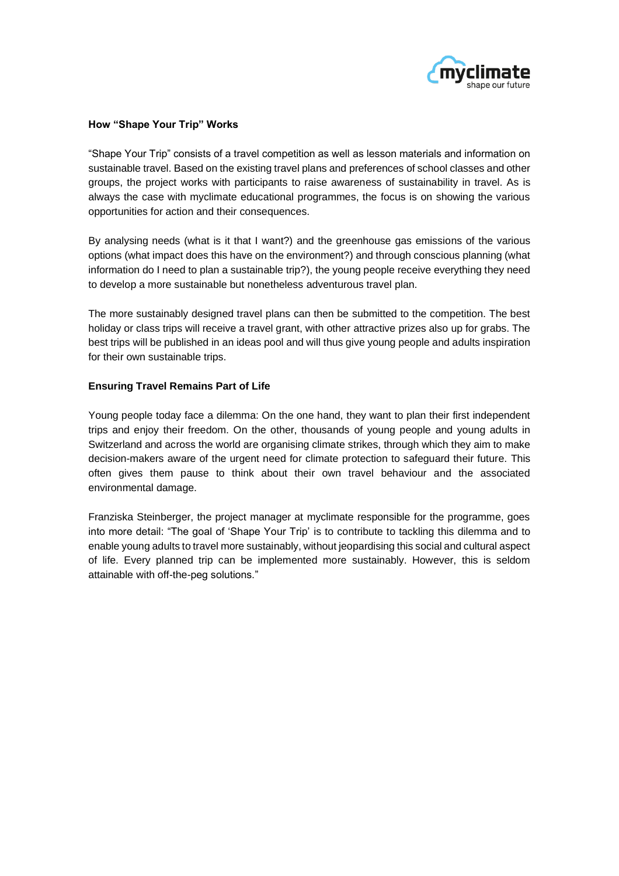

#### **How "Shape Your Trip" Works**

"Shape Your Trip" consists of a travel competition as well as lesson materials and information on sustainable travel. Based on the existing travel plans and preferences of school classes and other groups, the project works with participants to raise awareness of sustainability in travel. As is always the case with myclimate educational programmes, the focus is on showing the various opportunities for action and their consequences.

By analysing needs (what is it that I want?) and the greenhouse gas emissions of the various options (what impact does this have on the environment?) and through conscious planning (what information do I need to plan a sustainable trip?), the young people receive everything they need to develop a more sustainable but nonetheless adventurous travel plan.

The more sustainably designed travel plans can then be submitted to the competition. The best holiday or class trips will receive a travel grant, with other attractive prizes also up for grabs. The best trips will be published in an ideas pool and will thus give young people and adults inspiration for their own sustainable trips.

#### **Ensuring Travel Remains Part of Life**

Young people today face a dilemma: On the one hand, they want to plan their first independent trips and enjoy their freedom. On the other, thousands of young people and young adults in Switzerland and across the world are organising climate strikes, through which they aim to make decision-makers aware of the urgent need for climate protection to safeguard their future. This often gives them pause to think about their own travel behaviour and the associated environmental damage.

Franziska Steinberger, the project manager at myclimate responsible for the programme, goes into more detail: "The goal of 'Shape Your Trip' is to contribute to tackling this dilemma and to enable young adults to travel more sustainably, without jeopardising this social and cultural aspect of life. Every planned trip can be implemented more sustainably. However, this is seldom attainable with off-the-peg solutions."